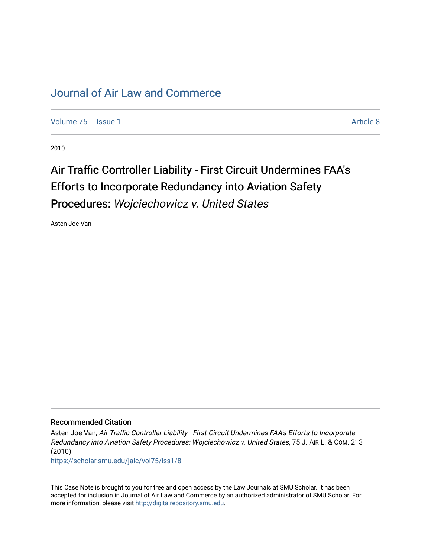## [Journal of Air Law and Commerce](https://scholar.smu.edu/jalc)

[Volume 75](https://scholar.smu.edu/jalc/vol75) | [Issue 1](https://scholar.smu.edu/jalc/vol75/iss1) Article 8

2010

## Air Traffic Controller Liability - First Circuit Undermines FAA's Efforts to Incorporate Redundancy into Aviation Safety Procedures: Wojciechowicz v. United States

Asten Joe Van

## Recommended Citation

Asten Joe Van, Air Traffic Controller Liability - First Circuit Undermines FAA's Efforts to Incorporate Redundancy into Aviation Safety Procedures: Wojciechowicz v. United States, 75 J. AIR L. & COM. 213 (2010)

[https://scholar.smu.edu/jalc/vol75/iss1/8](https://scholar.smu.edu/jalc/vol75/iss1/8?utm_source=scholar.smu.edu%2Fjalc%2Fvol75%2Fiss1%2F8&utm_medium=PDF&utm_campaign=PDFCoverPages) 

This Case Note is brought to you for free and open access by the Law Journals at SMU Scholar. It has been accepted for inclusion in Journal of Air Law and Commerce by an authorized administrator of SMU Scholar. For more information, please visit [http://digitalrepository.smu.edu](http://digitalrepository.smu.edu/).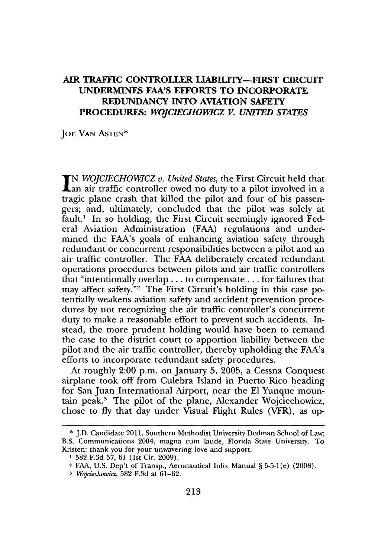## AIR **TRAFFIC CONTROLLER LIABILITY-FIRST CIRCUIT UNDERMINES FAA'S EFFORTS TO INCORPORATE REDUNDANCY INTO AVIATION SAFETY PROCEDURES:** *WOJCIECHOWICZ V. UNITED STATES*

**JOE VAN ASTEN\***

**IN** *WOJCIECHOWICZ v. United States,* the First Circuit held that **an** air traffic controller owed no duty to a pilot involved in a tragic plane crash that killed the pilot and four of his passengers; and, ultimately, concluded that the pilot was solely at fault.' In so holding, the First Circuit seemingly ignored Federal Aviation Administration **(FAA)** regulations and undermined the FAA's goals of enhancing aviation safety through redundant or concurrent responsibilities between a pilot and an air traffic controller. The **FAA** deliberately created redundant operations procedures between pilots and air traffic controllers that "intentionally overlap **...** to compensate .. **.**for failures that may affect safety."<sup>2</sup> The First Circuit's holding in this case potentially weakens aviation safety and accident prevention procedures **by** not recognizing the air traffic controller's concurrent duty to make a reasonable effort to prevent such accidents. Instead, the more prudent holding would have been to remand the case to the district court to apportion liability between the pilot and the air traffic controller, thereby upholding the FAA's efforts to incorporate redundant safety procedures.

At roughly 2:00 p.m. on January **5, 2005,** a Cessna Conquest airplane took off from Culebra Island in Puerto Rico heading for San Juan International Airport, near the **El** Yunque mountain peak.' The pilot of the plane, Alexander Wojciechowicz, chose to **fly** that day under Visual Flight Rules (VFR), as op-

**<sup>\*</sup> J.D.** Candidate **2011,** Southern Methodist University Dedman School of Law; B.S. Communications 2004, magna cum laude, Florida State University. To Kristen: thank you for your unwavering love and support.

**<sup>1</sup> 582 F.3d 57, 61** (1st Cir. **2009).**

<sup>2</sup>**FAA, U.S.** Dep't of Transp., Aeronautical Info. Manual **§ 5-5-1(e) (2008).**

*<sup>3</sup> Wojciechowicz,* **582 F.3d** at **61-62.**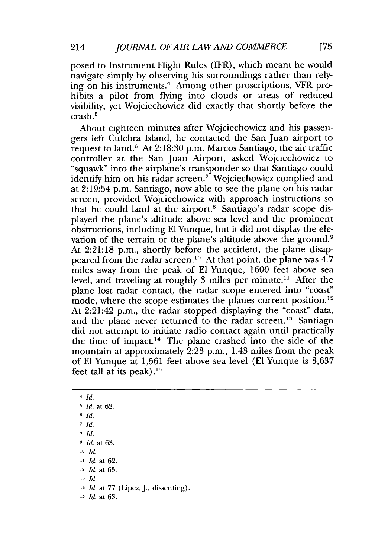posed to Instrument Flight Rules (IFR), which meant he would navigate simply **by** observing his surroundings rather than relying on his instruments.' Among other proscriptions, VFR prohibits a pilot from flying into clouds or areas of reduced visibility, yet Wojciechowicz did exactly that shortly before the crash.5

About eighteen minutes after Wojciechowicz and his passengers left Culebra Island, he contacted the San Juan airport to request to land.6 At **2:18:30** p.m. Marcos Santiago, the air traffic controller at the San Juan Airport, asked Wojciechowicz to "squawk" into the airplane's transponder so that Santiago could identify him on his radar screen.<sup>7</sup> Wojciechowicz complied and at 2:19:54 p.m. Santiago, now able to see the plane on his radar screen, provided Wojciechowicz with approach instructions so that he could land at the airport.<sup>8</sup> Santiago's radar scope displayed the plane's altitude above sea level and the prominent obstructions, including **El** Yunque, but it did not display the elevation of the terrain or the plane's altitude above the ground.<sup>9</sup> At **2:21:18** p.m., shortly before the accident, the plane disappeared from the radar screen.<sup>10</sup> At that point, the plane was  $4.7$ miles away from the peak of **El** Yunque, **1600** feet above sea level, and traveling at roughly 3 miles per minute.<sup>11</sup> After the plane lost radar contact, the radar scope entered into "coast" mode, where the scope estimates the planes current position.<sup>12</sup> At 2:21:42 p.m., the radar stopped displaying the "coast" data, and the plane never returned to the radar screen.<sup>13</sup> Santiago did not attempt to initiate radio contact again until practically the time of impact.<sup>14</sup> The plane crashed into the side of the mountain at approximately **2:23** p.m., 1.43 miles from the peak of **El** Yunque at **1,561** feet above sea level **(El** Yunque is **3,637** feet tall at its peak). $15$ 

4 *Id.* **5** *Id.* at **62. <sup>6</sup>***Id.* **7** *Id.* **8** *Id.* **<sup>9</sup>***Id.* at **63. 10** *Id.* **11** *Id.* at **62. <sup>12</sup>***Id.* at **63. <sup>13</sup>***Id.* **<sup>14</sup>***Id.* at *77* (Lipez, **J.,** dissenting). **<sup>15</sup>***Id.* at **63.**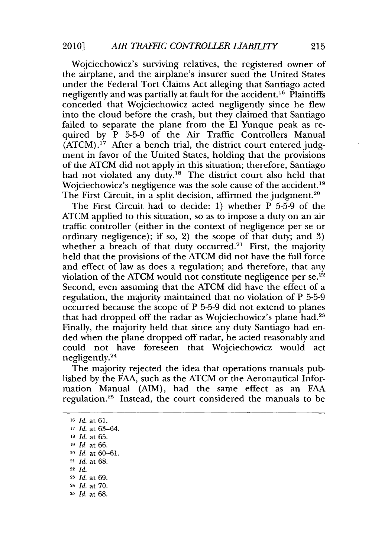Wojciechowicz's surviving relatives, the registered owner of the airplane, and the airplane's insurer sued the United States under the Federal Tort Claims Act alleging that Santiago acted negligently and was partially at fault for the accident.<sup>16</sup> Plaintiffs conceded that Wojciechowicz acted negligently since he flew into the cloud before the crash, but they claimed that Santiago failed to separate the plane from the **El** Yunque peak as required **by** P **5-5-9** of the Air Traffic Controllers Manual **(ATCM)."** After a bench trial, the district court entered judgment in favor of the United States, holding that the provisions of the **ATCM** did not apply in this situation; therefore, Santiago had not violated any duty.<sup>18</sup> The district court also held that Wojciechowicz's negligence was the sole cause of the accident.<sup>19</sup> The First Circuit, in a split decision, affirmed the judgment.<sup>20</sup>

The First Circuit had to decide: **1)** whether P **5-5-9** of the **ATCM** applied to this situation, so as to impose a duty on an air traffic controller (either in the context of negligence per se or ordinary negligence); if so, 2) the scope of that duty; and **3)** whether a breach of that duty occurred.<sup>21</sup> First, the majority held that the provisions of the **ATCM** did not have the full force and effect of law as does a regulation; and therefore, that any violation of the ATCM would not constitute negligence per  $se^{22}$ Second, even assuming that the **ATCM** did have the effect of a regulation, the majority maintained that no violation of P **5-5-9** occurred because the scope of P **5-5-9** did not extend to planes that had dropped off the radar as Wojciechowicz's plane had. Finally, the majority held that since any duty Santiago had ended when the plane dropped off radar, he acted reasonably and could not have foreseen that Wojciechowicz would act negligently.24

The majority rejected the idea that operations manuals published **by** the **FAA,** such as the **ATCM** or the Aeronautical Information Manual (AIM), had the same effect as an **FAA** regulation.<sup>25</sup> Instead, the court considered the manuals to be

*Id.* at **61.** *Id.* at **63-64.** *Id.* at **65.** *Id.* at **66.** *Id.* at **60-61.** *Id.* at **68. <sup>22</sup>***Id. Id.* at **69.** *Id.* at **70.** *Id.* at **68.**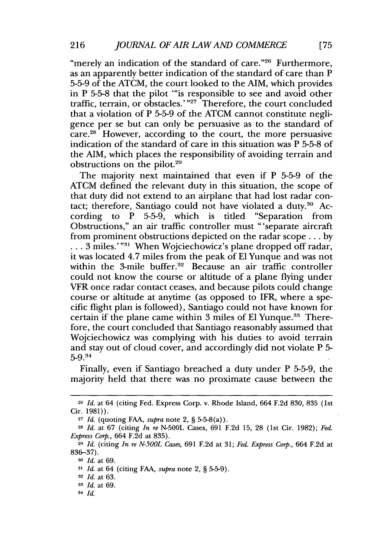"merely an indication of the standard of care."<sup>26</sup> Furthermore, as an apparently better indication of the standard of care than P **5-5-9** of the **ATCM,** the court looked to the AIM, which provides in P **5-5-8** that the pilot "'is responsible to see and avoid other traffic, terrain, or obstacles.' **"27** Therefore, the court concluded that a violation of P **5-5-9** of the **ATCM** cannot constitute negligence per se but can only be persuasive as to the standard of  $care.<sup>28</sup>$  However, according to the court, the more persuasive indication of the standard of care in this situation was P **5-5-8** of the AIM, which places the responsibility of avoiding terrain and obstructions on the pilot.29

The majority next maintained that even if P **5-5-9** of the **ATCM** defined the relevant duty in this situation, the scope of that duty did not extend to an airplane that had lost radar contact; therefore, Santiago could not have violated a duty.<sup>30</sup> According to P **5-5-9,** which is titled "Separation from Obstructions," an air traffic controller must "'separate aircraft from prominent obstructions depicted on the radar scope **. .. by** . . . 3 miles.'"<sup>31</sup> When Wojciechowicz's plane dropped off radar, it was located 4.7 miles from the peak of **El** Yunque and was not within the 3-mile buffer.<sup>32</sup> Because an air traffic controller could not know the course or altitude of a plane flying under VFR once radar contact ceases, and because pilots could change course or altitude at anytime (as opposed to IFR, where a specific flight plan is followed), Santiago could not have known for certain if the plane came within **3** miles of **El** Yunque.3 3 Therefore, the court concluded that Santiago reasonably assumed that Wojciechowicz was complying with his duties to avoid terrain and stay out of cloud cover, and accordingly did not violate P **5-** 5-9.<sup>34</sup>

Finally, even if Santiago breached a duty under P **5-5-9,** the majority held that there was no proximate cause between the

<sup>26</sup>*Id.* at 64 (citing Fed. Express Corp. v. Rhode Island, 664 **F.2d 830, 835** (1st Cir. **1981)).**

**<sup>27</sup>***Id.* (quoting **FAA,** *supra* note 2, *§* 5-5-8(a)).

**<sup>28</sup>***Id.* at **67** (citing *In re* **N-500L** Cases, **691 F.2d 15, 28** (1st Cir. **1982);** *Fed. Express Corp.,* 664 **F.2d** at **835).**

**<sup>29</sup>***Id.* (citing *In re N-500L Cases,* **691 F.2d** at **31;** *Fed. Express Corp.,* 664 **F.2d** at **836-37).**

**<sup>30</sup>***Id.* at **69.**

*<sup>3</sup>i Id.* at 64 (citing **FAA,** *supra* note 2, *§* 5-5-9).

**<sup>32</sup>***Id.* at **63.**

**<sup>3</sup>***Id.* at **69.**

*<sup>-</sup> Id.*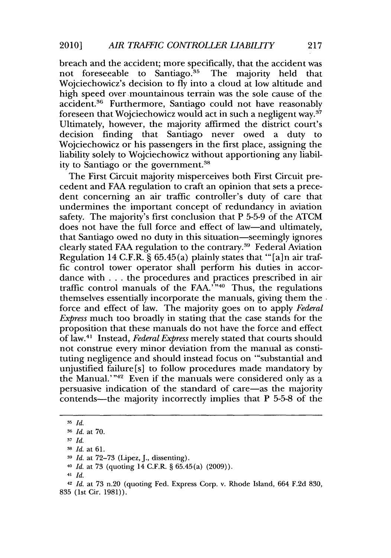breach and the accident; more specifically, that the accident was not foreseeable to Santiago.<sup>35</sup> The majority held that Wojciechowicz's decision to **fly** into a cloud at low altitude and high speed over mountainous terrain was the sole cause of the accident.<sup>36</sup> Furthermore, Santiago could not have reasonably foreseen that Wojciechowicz would act in such a negligent way.37 Ultimately, however, the majority affirmed the district court's decision finding that Santiago never owed a duty to Wojciechowicz or his passengers in the first place, assigning the liability solely to Wojciechowicz without apportioning any liability to Santiago or the government.38

The First Circuit majority misperceives both First Circuit precedent and **FAA** regulation to craft an opinion that sets a precedent concerning an air traffic controller's duty of care that undermines the important concept of redundancy in aviation safety. The majority's first conclusion that P **5-5-9** of the **ATCM** does not have the full force and effect of law—and ultimately, that Santiago owed no duty in this situation-seemingly ignores clearly stated **FAA** regulation to the contrary.39 Federal Aviation Regulation 14 C.F.R. **§ 65.45(a)** plainly states that "'[a]n air traffic control tower operator shall perform his duties in accordance with **.** . **.** the procedures and practices prescribed in air traffic control manuals of the FAA.<sup>7</sup><sup>40</sup> Thus, the regulations themselves essentially incorporate the manuals, giving them the force and effect of law. The majority goes on to apply *Federal* Express much too broadly in stating that the case stands for the proposition that these manuals do not have the force and effect of law. Instead, *Federal Express* merely stated that courts should not construe every minor deviation from the manual as constituting negligence and should instead focus on "substantial and unjustified failure [s] to follow procedures made mandatory **by** the Manual.'" $42$  Even if the manuals were considered only as a persuasive indication of the standard of care-as the majority contends-the majority incorrectly implies that P **5-5-8** of the

<sup>41</sup>*Id.*

**<sup>3</sup>** *Id.*

**<sup>36</sup>***Id.* at 70.

**<sup>3</sup>** *Id.*

**<sup>38</sup>***Id.* at **61.**

**<sup>3</sup>** *Id.* at **72-73** (Lipez, **J.,** dissenting).

<sup>40</sup>*Id.* at **73** (quoting 14 C.F.R. *§* 65.45(a) **(2009)).**

<sup>42</sup>*Id.* at **73** n.20 (quoting Fed. Express Corp. v. Rhode Island, 664 **F.2d 830, 835** (1st Cir. **1981)).**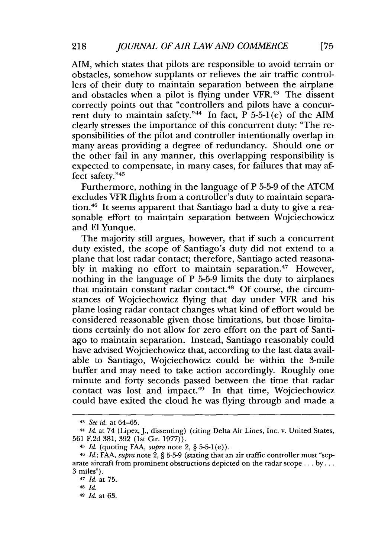AIM, which states that pilots are responsible to avoid terrain or obstacles, somehow supplants or relieves the air traffic controllers of their duty to maintain separation between the airplane and obstacles when a pilot is flying under VFR.<sup>43</sup> The dissent correctly points out that "controllers and pilots have a concurrent duty to maintain safety."<sup>44</sup> In fact,  $\overline{P}$  5-5-1(e) of the AIM clearly stresses the importance of this concurrent duty: "The responsibilities of the pilot and controller intentionally overlap in many areas providing a degree of redundancy. Should one or the other fail in any manner, this overlapping responsibility is expected to compensate, in many cases, for failures that may affect safety."45

Furthermore, nothing in the language of P **5-5-9** of the **ATCM** excludes VFR flights from a controller's duty to maintain separation.<sup>46</sup> It seems apparent that Santiago had a duty to give a reasonable effort to maintain separation between Wojciechowicz and **El** Yunque.

The majority still argues, however, that if such a concurrent duty existed, the scope of Santiago's duty did not extend to a plane that lost radar contact; therefore, Santiago acted reasonably in making no effort to maintain separation.<sup>47</sup> However, nothing in the language of P **5-5-9** limits the duty to airplanes that maintain constant radar contact.<sup>48</sup> Of course, the circumstances of Wojciechowicz flying that day under VFR and his plane losing radar contact changes what kind of effort would be considered reasonable given those limitations, but those limitations certainly do not allow for zero effort on the part of Santiago to maintain separation. Instead, Santiago reasonably could have advised Wojciechowicz that, according to the last data available to Santiago, Wojciechowicz could be within the 3-mile buffer and may need to take action accordingly. Roughly one minute and forty seconds passed between the time that radar contact was lost and impact.<sup>49</sup> In that time, Wojciechowicz could have exited the cloud he was flying through and made a

<sup>43</sup>*See id. at* **64-65.**

<sup>4</sup>*Id. at 74* (Lipez, **J.,** dissenting) (citing Delta Air Lines, Inc. v. United States, **561 F.2d 381, 392** (1st Cir. **1977)).**

<sup>4</sup>*Id.* (quoting **FAA,** *supra* note 2, **§ 5-5-1(e)).**

**<sup>46</sup>** *Id.; FAA, supra* note 2, **§ 5-5-9** (stating that an air traffic controller must "separate aircraft from prominent obstructions depicted on the radar scope **... by ... 3** miles").

<sup>47</sup>*Id.* at **75.**

**<sup>48</sup>***Id.*

<sup>4</sup>*Id.* at **63.**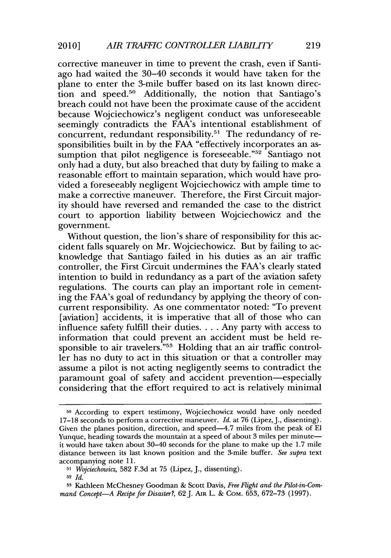corrective maneuver in time to prevent the crash, even if Santiago had waited the 30-40 seconds it would have taken for the plane to enter the 3-mile buffer based on its last known direction and speed.<sup>50</sup> Additionally, the notion that Santiago's breach could not have been the proximate cause of the accident because Wojciechowicz's negligent conduct was unforeseeable seemingly contradicts the FAA's intentional establishment of concurrent, redundant responsibility.5' The redundancy of responsibilities built in **by** the **FAA** "effectively incorporates an assumption that pilot negligence is foreseeable."<sup>52</sup> Santiago not only had a duty, but also breached that duty **by** failing to make a reasonable effort to maintain separation, which would have provided a foreseeably negligent Wojciechowicz with ample time to make a corrective maneuver. Therefore, the First Circuit majority should have reversed and remanded the case to the district court to apportion liability between Wojciechowicz and the government.

Without question, the lion's share of responsibility for this accident falls squarely on Mr. Wojciechowicz. But **by** failing to acknowledge that Santiago failed in his duties as an air traffic controller, the First Circuit undermines the FAA's clearly stated intention to build in redundancy as a part of the aviation safety regulations. The courts can play an important role in cementing the FAA's goal of redundancy **by** applying the theory of concurrent responsibility. As one commentator noted: "To prevent [aviation] accidents, it is imperative that all of those who can influence safety fulfill their duties. . . **.** Any party with access to information that could prevent an accident must be held responsible to air travelers.<sup>"53</sup> Holding that an air traffic controller has no duty to act in this situation or that a controller may assume a pilot is not acting negligently seems to contradict the paramount goal of safety and accident prevention-especially considering that the effort required to act is relatively minimal

**<sup>50</sup>**According to expert testimony, Wojciechowicz would have only needed **17-18** seconds to perform a corrective maneuver. *Id.* at **76** (Lipez,J., dissenting). Given the planes position, direction, and speed-4.7 miles from the peak of **El** Yunque, heading towards the mountain at a speed of about **3** miles per minuteit would have taken about 30-40 seconds for the plane to make up the **1.7** mile distance between its last known position and the 3-mile buffer. *See supra* text accompanying note **11.**

**<sup>51</sup>** *Wojciechowicz,* **582 F.3d** at **75** (Lipez, **J.,** dissenting).

**<sup>52</sup>***Id.*

**<sup>53</sup>** Kathleen McChesney Goodman **&** Scott Davis, *Free Flight and the Pilot-in-Command Concept-A Recipe for Disaster?, 62* **J. AIR** L. **&** CoM. **653, 672-73 (1997).**